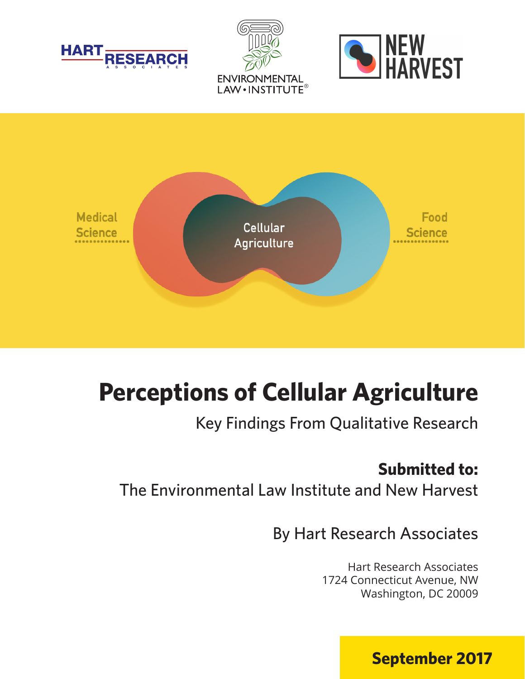







# **Perceptions of Cellular Agriculture**

Key Findings From Qualitative Research

# **Submitted to:**

The Environmental Law Institute and New Harvest

By Hart Research Associates

Hart Research Associates 1724 Connecticut Avenue, NW Washington, DC 20009

**September 2017**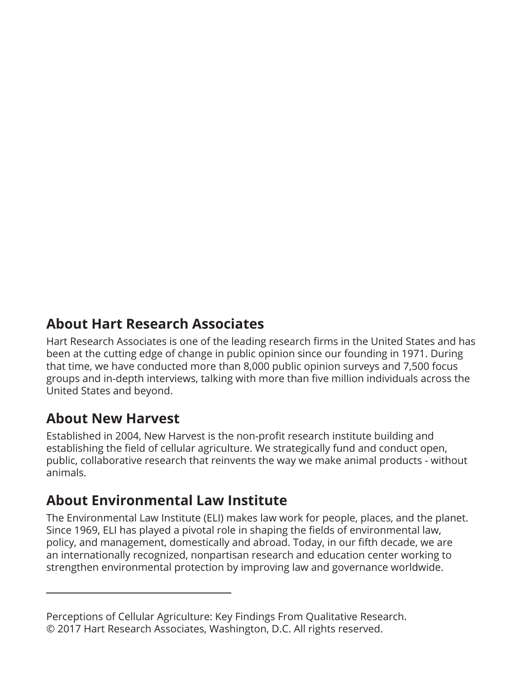### **About Hart Research Associates**

Hart Research Associates is one of the leading research firms in the United States and has been at the cutting edge of change in public opinion since our founding in 1971. During that time, we have conducted more than 8,000 public opinion surveys and 7,500 focus groups and in-depth interviews, talking with more than five million individuals across the United States and beyond.

### **About New Harvest**

Established in 2004, New Harvest is the non-profit research institute building and establishing the field of cellular agriculture. We strategically fund and conduct open, public, collaborative research that reinvents the way we make animal products - without animals.

### **About Environmental Law Institute**

The Environmental Law Institute (ELI) makes law work for people, places, and the planet. Since 1969, ELI has played a pivotal role in shaping the fields of environmental law, policy, and management, domestically and abroad. Today, in our fifth decade, we are an internationally recognized, nonpartisan research and education center working to strengthen environmental protection by improving law and governance worldwide.

Perceptions of Cellular Agriculture: Key Findings From Qualitative Research. © 2017 Hart Research Associates, Washington, D.C. All rights reserved.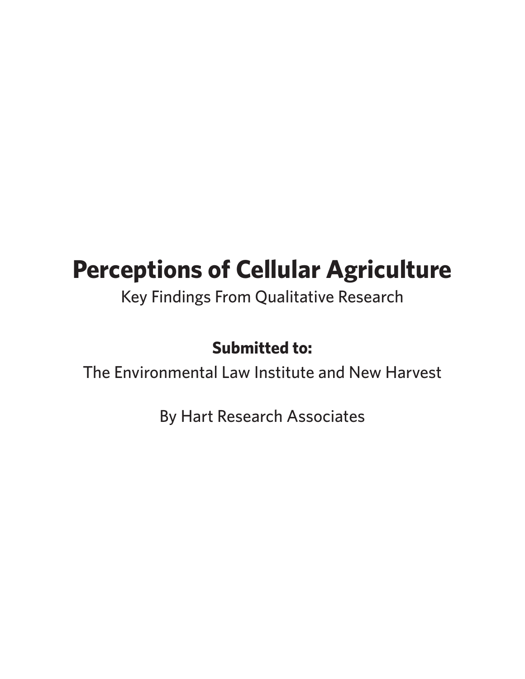# **Perceptions of Cellular Agriculture**

Key Findings From Qualitative Research

### **Submitted to:**

The Environmental Law Institute and New Harvest

By Hart Research Associates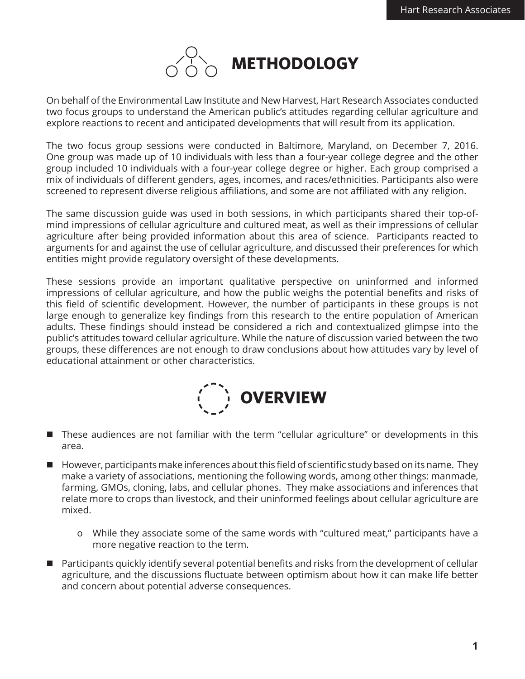

On behalf of the Environmental Law Institute and New Harvest, Hart Research Associates conducted two focus groups to understand the American public's attitudes regarding cellular agriculture and explore reactions to recent and anticipated developments that will result from its application.

The two focus group sessions were conducted in Baltimore, Maryland, on December 7, 2016. One group was made up of 10 individuals with less than a four-year college degree and the other group included 10 individuals with a four-year college degree or higher. Each group comprised a mix of individuals of different genders, ages, incomes, and races/ethnicities. Participants also were screened to represent diverse religious affiliations, and some are not affiliated with any religion.

The same discussion guide was used in both sessions, in which participants shared their top-ofmind impressions of cellular agriculture and cultured meat, as well as their impressions of cellular agriculture after being provided information about this area of science. Participants reacted to arguments for and against the use of cellular agriculture, and discussed their preferences for which entities might provide regulatory oversight of these developments.

These sessions provide an important qualitative perspective on uninformed and informed impressions of cellular agriculture, and how the public weighs the potential benefits and risks of this field of scientific development. However, the number of participants in these groups is not large enough to generalize key findings from this research to the entire population of American adults. These findings should instead be considered a rich and contextualized glimpse into the public's attitudes toward cellular agriculture. While the nature of discussion varied between the two groups, these differences are not enough to draw conclusions about how attitudes vary by level of educational attainment or other characteristics.



- These audiences are not familiar with the term "cellular agriculture" or developments in this area.
- $\blacksquare$  However, participants make inferences about this field of scientific study based on its name. They make a variety of associations, mentioning the following words, among other things: manmade, farming, GMOs, cloning, labs, and cellular phones. They make associations and inferences that relate more to crops than livestock, and their uninformed feelings about cellular agriculture are mixed.
	- o While they associate some of the same words with "cultured meat," participants have a more negative reaction to the term.
- $\blacksquare$  Participants quickly identify several potential benefits and risks from the development of cellular agriculture, and the discussions fluctuate between optimism about how it can make life better and concern about potential adverse consequences.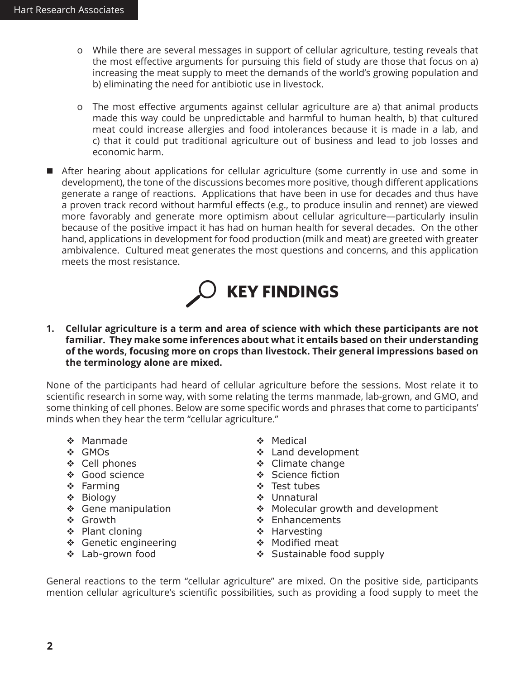- o While there are several messages in support of cellular agriculture, testing reveals that the most effective arguments for pursuing this field of study are those that focus on a) increasing the meat supply to meet the demands of the world's growing population and b) eliminating the need for antibiotic use in livestock.
- o The most effective arguments against cellular agriculture are a) that animal products made this way could be unpredictable and harmful to human health, b) that cultured meat could increase allergies and food intolerances because it is made in a lab, and c) that it could put traditional agriculture out of business and lead to job losses and economic harm.
- After hearing about applications for cellular agriculture (some currently in use and some in development), the tone of the discussions becomes more positive, though different applications generate a range of reactions. Applications that have been in use for decades and thus have a proven track record without harmful effects (e.g., to produce insulin and rennet) are viewed more favorably and generate more optimism about cellular agriculture—particularly insulin because of the positive impact it has had on human health for several decades. On the other hand, applications in development for food production (milk and meat) are greeted with greater ambivalence. Cultured meat generates the most questions and concerns, and this application meets the most resistance.



**1. Cellular agriculture is a term and area of science with which these participants are not familiar. They make some inferences about what it entails based on their understanding of the words, focusing more on crops than livestock. Their general impressions based on the terminology alone are mixed.**

None of the participants had heard of cellular agriculture before the sessions. Most relate it to scientific research in some way, with some relating the terms manmade, lab-grown, and GMO, and some thinking of cell phones. Below are some specific words and phrases that come to participants' minds when they hear the term "cellular agriculture."

- Manmade
- GMOs
- ❖ Cell phones
- Good science
- $\div$  Farming
- Biology
- ❖ Gene manipulation
- Growth
- ❖ Plant cloning
- Genetic engineering
- Lab-grown food
- ◆ Medical
- Land development
- ❖ Climate change
- ❖ Science fiction
- ❖ Test tubes
- Unnatural
- ◆ Molecular growth and development
- $\div$  Enhancements
- ◆ Harvesting
- ◆ Modified meat
	- ❖ Sustainable food supply

General reactions to the term "cellular agriculture" are mixed. On the positive side, participants mention cellular agriculture's scientific possibilities, such as providing a food supply to meet the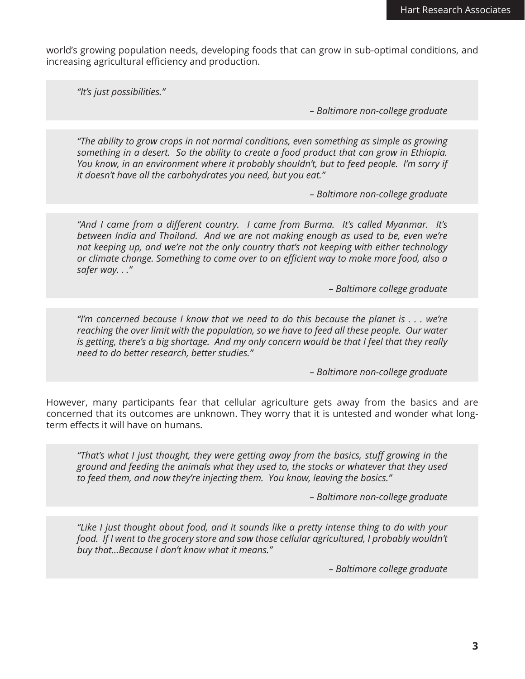world's growing population needs, developing foods that can grow in sub-optimal conditions, and increasing agricultural efficiency and production.

*"It's just possibilities."*

*– Baltimore non-college graduate*

*"The ability to grow crops in not normal conditions, even something as simple as growing something in a desert. So the ability to create a food product that can grow in Ethiopia. You know, in an environment where it probably shouldn't, but to feed people. I'm sorry if it doesn't have all the carbohydrates you need, but you eat."* 

*– Baltimore non-college graduate*

*"And I came from a different country. I came from Burma. It's called Myanmar. It's between India and Thailand. And we are not making enough as used to be, even we're not keeping up, and we're not the only country that's not keeping with either technology or climate change. Something to come over to an efficient way to make more food, also a safer way. . ."* 

*– Baltimore college graduate*

*"I'm concerned because I know that we need to do this because the planet is . . . we're reaching the over limit with the population, so we have to feed all these people. Our water is getting, there's a big shortage. And my only concern would be that I feel that they really need to do better research, better studies."*

*– Baltimore non-college graduate*

However, many participants fear that cellular agriculture gets away from the basics and are concerned that its outcomes are unknown. They worry that it is untested and wonder what longterm effects it will have on humans.

*"That's what I just thought, they were getting away from the basics, stuff growing in the ground and feeding the animals what they used to, the stocks or whatever that they used to feed them, and now they're injecting them. You know, leaving the basics."* 

*– Baltimore non-college graduate*

*"Like I just thought about food, and it sounds like a pretty intense thing to do with your*  food. If I went to the grocery store and saw those cellular agricultured, I probably wouldn't *buy that...Because I don't know what it means."* 

*– Baltimore college graduate*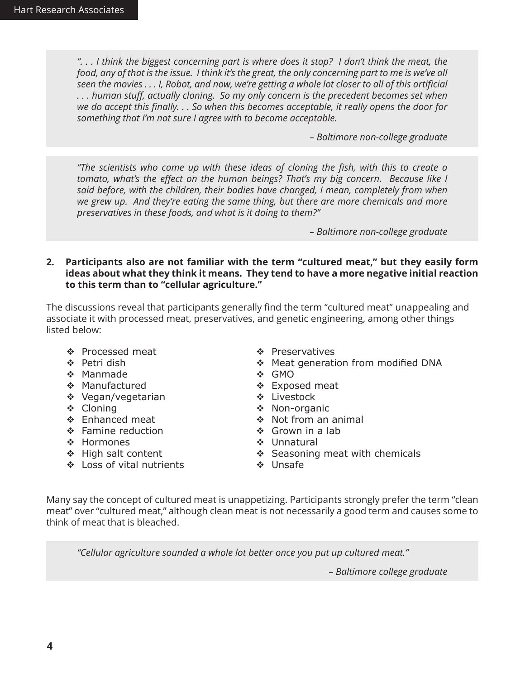*". . . I think the biggest concerning part is where does it stop? I don't think the meat, the food, any of that is the issue. I think it's the great, the only concerning part to me is we've all seen the movies . . . I, Robot, and now, we're getting a whole lot closer to all of this artificial . . . human stuff, actually cloning. So my only concern is the precedent becomes set when we do accept this finally. . . So when this becomes acceptable, it really opens the door for something that I'm not sure I agree with to become acceptable.*

*– Baltimore non-college graduate*

*"The scientists who come up with these ideas of cloning the fish, with this to create a tomato, what's the effect on the human beings? That's my big concern. Because like I said before, with the children, their bodies have changed, I mean, completely from when we grew up. And they're eating the same thing, but there are more chemicals and more preservatives in these foods, and what is it doing to them?"* 

*– Baltimore non-college graduate*

**2. Participants also are not familiar with the term "cultured meat," but they easily form ideas about what they think it means. They tend to have a more negative initial reaction to this term than to "cellular agriculture."**

The discussions reveal that participants generally find the term "cultured meat" unappealing and associate it with processed meat, preservatives, and genetic engineering, among other things listed below:

- ❖ Processed meat
- ❖ Petri dish
- Manmade
- ❖ Manufactured
- Vegan/vegetarian
- ❖ Cloning
- Enhanced meat
- ❖ Famine reduction
- ❖ Hormones
- High salt content
- Loss of vital nutrients
- ❖ Preservatives
- Meat generation from modified DNA
- GMO
- Exposed meat
- Livestock
- ❖ Non-organic
- ❖ Not from an animal
- $\div$  Grown in a lab
- **→ Unnatural**
- $\div$  Seasoning meat with chemicals
- ◆ Unsafe

Many say the concept of cultured meat is unappetizing. Participants strongly prefer the term "clean meat" over "cultured meat," although clean meat is not necessarily a good term and causes some to think of meat that is bleached.

*"Cellular agriculture sounded a whole lot better once you put up cultured meat."* 

*– Baltimore college graduate*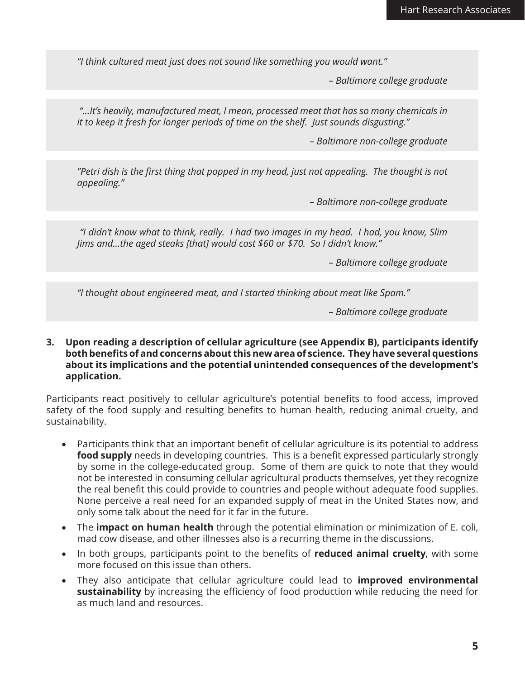*"I think cultured meat just does not sound like something you would want."* 

*– Baltimore college graduate*

 *"…It's heavily, manufactured meat, I mean, processed meat that has so many chemicals in it to keep it fresh for longer periods of time on the shelf. Just sounds disgusting."* 

*– Baltimore non-college graduate*

*"Petri dish is the first thing that popped in my head, just not appealing. The thought is not appealing."* 

*– Baltimore non-college graduate*

 *"I didn't know what to think, really. I had two images in my head. I had, you know, Slim Jims and...the aged steaks [that] would cost \$60 or \$70. So I didn't know."* 

*– Baltimore college graduate*

*"I thought about engineered meat, and I started thinking about meat like Spam."* 

*– Baltimore college graduate*

**3. Upon reading a description of cellular agriculture (see Appendix B), participants identify both benefits of and concerns about this new area of science. They have several questions about its implications and the potential unintended consequences of the development's application.** 

Participants react positively to cellular agriculture's potential benefits to food access, improved safety of the food supply and resulting benefits to human health, reducing animal cruelty, and sustainability.

- Participants think that an important benefit of cellular agriculture is its potential to address **food supply** needs in developing countries. This is a benefit expressed particularly strongly by some in the college-educated group. Some of them are quick to note that they would not be interested in consuming cellular agricultural products themselves, yet they recognize the real benefit this could provide to countries and people without adequate food supplies. None perceive a real need for an expanded supply of meat in the United States now, and only some talk about the need for it far in the future.
- The **impact on human health** through the potential elimination or minimization of E. coli, mad cow disease, and other illnesses also is a recurring theme in the discussions.
- In both groups, participants point to the benefits of **reduced animal cruelty**, with some more focused on this issue than others.
- They also anticipate that cellular agriculture could lead to **improved environmental sustainability** by increasing the efficiency of food production while reducing the need for as much land and resources.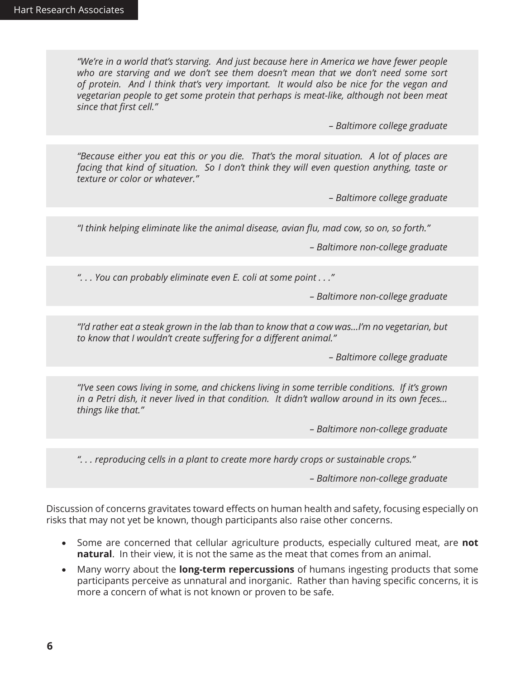*"We're in a world that's starving. And just because here in America we have fewer people*  who are starving and we don't see them doesn't mean that we don't need some sort *of protein. And I think that's very important. It would also be nice for the vegan and vegetarian people to get some protein that perhaps is meat-like, although not been meat since that first cell."* 

*– Baltimore college graduate*

*"Because either you eat this or you die. That's the moral situation. A lot of places are facing that kind of situation. So I don't think they will even question anything, taste or texture or color or whatever."* 

*– Baltimore college graduate*

*"I think helping eliminate like the animal disease, avian flu, mad cow, so on, so forth."*

*– Baltimore non-college graduate*

*". . . You can probably eliminate even E. coli at some point . . ."*

*– Baltimore non-college graduate*

*"I'd rather eat a steak grown in the lab than to know that a cow was…I'm no vegetarian, but to know that I wouldn't create suffering for a different animal."* 

*– Baltimore college graduate*

*"I've seen cows living in some, and chickens living in some terrible conditions. If it's grown in a Petri dish, it never lived in that condition. It didn't wallow around in its own feces… things like that."* 

*– Baltimore non-college graduate*

*". . . reproducing cells in a plant to create more hardy crops or sustainable crops."* 

*– Baltimore non-college graduate*

Discussion of concerns gravitates toward effects on human health and safety, focusing especially on risks that may not yet be known, though participants also raise other concerns.

- Some are concerned that cellular agriculture products, especially cultured meat, are **not natural**. In their view, it is not the same as the meat that comes from an animal.
- • Many worry about the **long-term repercussions** of humans ingesting products that some participants perceive as unnatural and inorganic. Rather than having specific concerns, it is more a concern of what is not known or proven to be safe.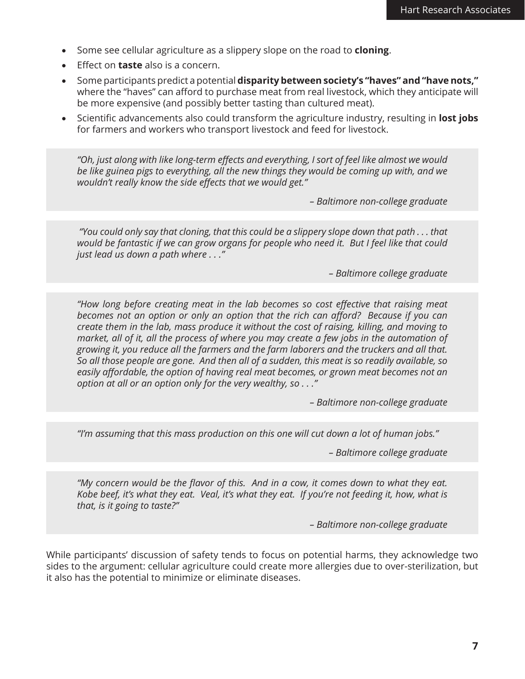- Some see cellular agriculture as a slippery slope on the road to **cloning**.
- **Effect on taste** also is a concern.
- • Some participants predict a potential **disparity between society's "haves" and "have nots,"** where the "haves" can afford to purchase meat from real livestock, which they anticipate will be more expensive (and possibly better tasting than cultured meat).
- Scientific advancements also could transform the agriculture industry, resulting in **lost jobs** for farmers and workers who transport livestock and feed for livestock.

*"Oh, just along with like long-term effects and everything, I sort of feel like almost we would be like guinea pigs to everything, all the new things they would be coming up with, and we wouldn't really know the side effects that we would get."* 

*– Baltimore non-college graduate*

 *"You could only say that cloning, that this could be a slippery slope down that path . . . that would be fantastic if we can grow organs for people who need it. But I feel like that could just lead us down a path where . . ."* 

*– Baltimore college graduate*

*"How long before creating meat in the lab becomes so cost effective that raising meat becomes not an option or only an option that the rich can afford? Because if you can create them in the lab, mass produce it without the cost of raising, killing, and moving to market, all of it, all the process of where you may create a few jobs in the automation of growing it, you reduce all the farmers and the farm laborers and the truckers and all that. So all those people are gone. And then all of a sudden, this meat is so readily available, so easily affordable, the option of having real meat becomes, or grown meat becomes not an option at all or an option only for the very wealthy, so . . ."*

*– Baltimore non-college graduate*

*"I'm assuming that this mass production on this one will cut down a lot of human jobs."* 

*– Baltimore college graduate*

*"My concern would be the flavor of this. And in a cow, it comes down to what they eat. Kobe beef, it's what they eat. Veal, it's what they eat. If you're not feeding it, how, what is that, is it going to taste?"*

*– Baltimore non-college graduate*

While participants' discussion of safety tends to focus on potential harms, they acknowledge two sides to the argument: cellular agriculture could create more allergies due to over-sterilization, but it also has the potential to minimize or eliminate diseases.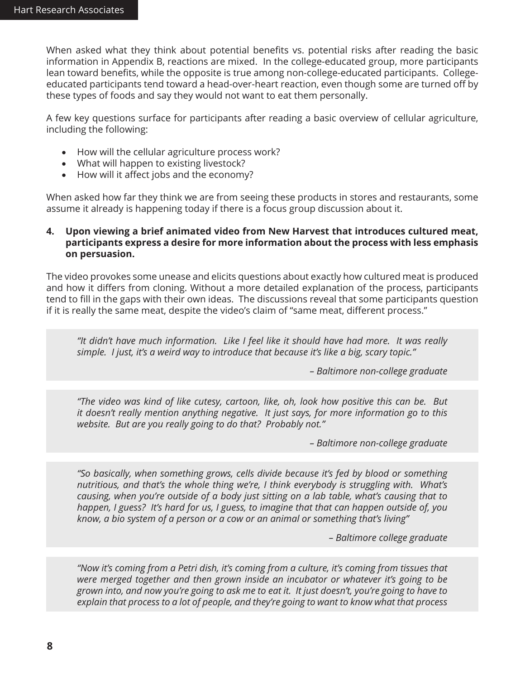When asked what they think about potential benefits vs. potential risks after reading the basic information in Appendix B, reactions are mixed. In the college-educated group, more participants lean toward benefits, while the opposite is true among non-college-educated participants. Collegeeducated participants tend toward a head-over-heart reaction, even though some are turned off by these types of foods and say they would not want to eat them personally.

A few key questions surface for participants after reading a basic overview of cellular agriculture, including the following:

- How will the cellular agriculture process work?
- What will happen to existing livestock?
- How will it affect jobs and the economy?

When asked how far they think we are from seeing these products in stores and restaurants, some assume it already is happening today if there is a focus group discussion about it.

#### **4. Upon viewing a brief animated video from New Harvest that introduces cultured meat, participants express a desire for more information about the process with less emphasis on persuasion.**

The video provokes some unease and elicits questions about exactly how cultured meat is produced and how it differs from cloning. Without a more detailed explanation of the process, participants tend to fill in the gaps with their own ideas. The discussions reveal that some participants question if it is really the same meat, despite the video's claim of "same meat, different process."

*"It didn't have much information. Like I feel like it should have had more. It was really simple. I just, it's a weird way to introduce that because it's like a big, scary topic."* 

*– Baltimore non-college graduate*

*"The video was kind of like cutesy, cartoon, like, oh, look how positive this can be. But it doesn't really mention anything negative. It just says, for more information go to this website. But are you really going to do that? Probably not."* 

*– Baltimore non-college graduate*

*"So basically, when something grows, cells divide because it's fed by blood or something nutritious, and that's the whole thing we're, I think everybody is struggling with. What's causing, when you're outside of a body just sitting on a lab table, what's causing that to happen, I guess? It's hard for us, I guess, to imagine that that can happen outside of, you know, a bio system of a person or a cow or an animal or something that's living"*

*– Baltimore college graduate* 

*"Now it's coming from a Petri dish, it's coming from a culture, it's coming from tissues that were merged together and then grown inside an incubator or whatever it's going to be grown into, and now you're going to ask me to eat it. It just doesn't, you're going to have to explain that process to a lot of people, and they're going to want to know what that process*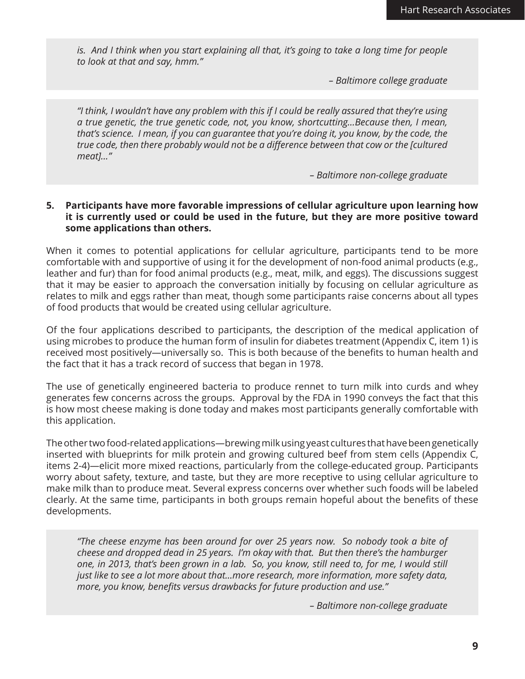*is. And I think when you start explaining all that, it's going to take a long time for people to look at that and say, hmm."* 

*– Baltimore college graduate* 

*"I think, I wouldn't have any problem with this if I could be really assured that they're using a true genetic, the true genetic code, not, you know, shortcutting…Because then, I mean, that's science. I mean, if you can guarantee that you're doing it, you know, by the code, the true code, then there probably would not be a difference between that cow or the [cultured meat]…"*

*– Baltimore non-college graduate*

#### **5. Participants have more favorable impressions of cellular agriculture upon learning how it is currently used or could be used in the future, but they are more positive toward some applications than others.**

When it comes to potential applications for cellular agriculture, participants tend to be more comfortable with and supportive of using it for the development of non-food animal products (e.g., leather and fur) than for food animal products (e.g., meat, milk, and eggs). The discussions suggest that it may be easier to approach the conversation initially by focusing on cellular agriculture as relates to milk and eggs rather than meat, though some participants raise concerns about all types of food products that would be created using cellular agriculture.

Of the four applications described to participants, the description of the medical application of using microbes to produce the human form of insulin for diabetes treatment (Appendix C, item 1) is received most positively—universally so. This is both because of the benefits to human health and the fact that it has a track record of success that began in 1978.

The use of genetically engineered bacteria to produce rennet to turn milk into curds and whey generates few concerns across the groups. Approval by the FDA in 1990 conveys the fact that this is how most cheese making is done today and makes most participants generally comfortable with this application.

The other two food-related applications—brewing milk using yeast cultures that have been genetically inserted with blueprints for milk protein and growing cultured beef from stem cells (Appendix C, items 2-4)—elicit more mixed reactions, particularly from the college-educated group. Participants worry about safety, texture, and taste, but they are more receptive to using cellular agriculture to make milk than to produce meat. Several express concerns over whether such foods will be labeled clearly. At the same time, participants in both groups remain hopeful about the benefits of these developments.

*"The cheese enzyme has been around for over 25 years now. So nobody took a bite of cheese and dropped dead in 25 years. I'm okay with that. But then there's the hamburger one, in 2013, that's been grown in a lab. So, you know, still need to, for me, I would still just like to see a lot more about that…more research, more information, more safety data, more, you know, benefits versus drawbacks for future production and use."* 

*– Baltimore non-college graduate*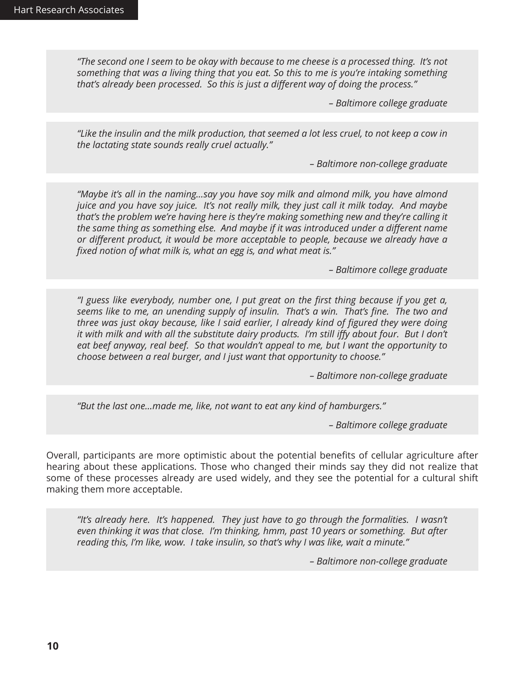*"The second one I seem to be okay with because to me cheese is a processed thing. It's not something that was a living thing that you eat. So this to me is you're intaking something that's already been processed. So this is just a different way of doing the process."* 

*– Baltimore college graduate*

*"Like the insulin and the milk production, that seemed a lot less cruel, to not keep a cow in the lactating state sounds really cruel actually."* 

*– Baltimore non-college graduate*

*"Maybe it's all in the naming…say you have soy milk and almond milk, you have almond juice and you have soy juice. It's not really milk, they just call it milk today. And maybe that's the problem we're having here is they're making something new and they're calling it the same thing as something else. And maybe if it was introduced under a different name or different product, it would be more acceptable to people, because we already have a fixed notion of what milk is, what an egg is, and what meat is."* 

*– Baltimore college graduate*

*"I guess like everybody, number one, I put great on the first thing because if you get a, seems like to me, an unending supply of insulin. That's a win. That's fine. The two and three was just okay because, like I said earlier, I already kind of figured they were doing*  it with milk and with all the substitute dairy products. I'm still iffy about four. But I don't *eat beef anyway, real beef. So that wouldn't appeal to me, but I want the opportunity to choose between a real burger, and I just want that opportunity to choose."* 

*– Baltimore non-college graduate*

*"But the last one…made me, like, not want to eat any kind of hamburgers."* 

*– Baltimore college graduate*

Overall, participants are more optimistic about the potential benefits of cellular agriculture after hearing about these applications. Those who changed their minds say they did not realize that some of these processes already are used widely, and they see the potential for a cultural shift making them more acceptable.

*"It's already here. It's happened. They just have to go through the formalities. I wasn't even thinking it was that close. I'm thinking, hmm, past 10 years or something. But after reading this, I'm like, wow. I take insulin, so that's why I was like, wait a minute."* 

*– Baltimore non-college graduate*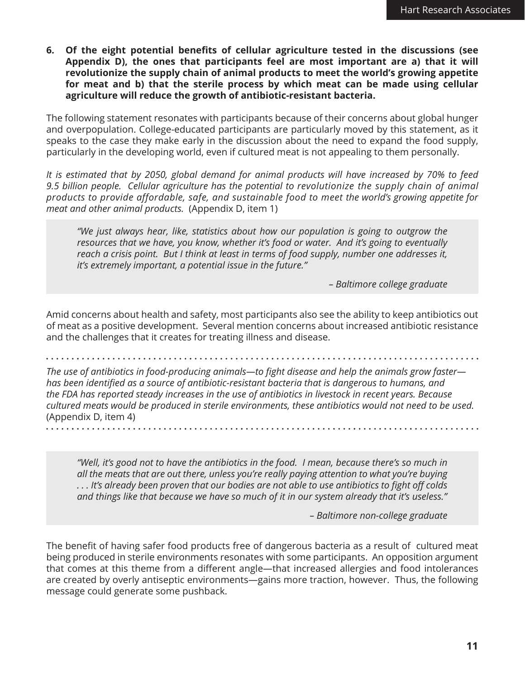**6. Of the eight potential benefits of cellular agriculture tested in the discussions (see Appendix D), the ones that participants feel are most important are a) that it will revolutionize the supply chain of animal products to meet the world's growing appetite for meat and b) that the sterile process by which meat can be made using cellular agriculture will reduce the growth of antibiotic-resistant bacteria.**

The following statement resonates with participants because of their concerns about global hunger and overpopulation. College-educated participants are particularly moved by this statement, as it speaks to the case they make early in the discussion about the need to expand the food supply, particularly in the developing world, even if cultured meat is not appealing to them personally.

*It is estimated that by 2050, global demand for animal products will have increased by 70% to feed 9.5 billion people. Cellular agriculture has the potential to revolutionize the supply chain of animal products to provide affordable, safe, and sustainable food to meet the world's growing appetite for meat and other animal products.* (Appendix D, item 1)

*"We just always hear, like, statistics about how our population is going to outgrow the resources that we have, you know, whether it's food or water. And it's going to eventually reach a crisis point. But I think at least in terms of food supply, number one addresses it, it's extremely important, a potential issue in the future."* 

*– Baltimore college graduate*

Amid concerns about health and safety, most participants also see the ability to keep antibiotics out of meat as a positive development. Several mention concerns about increased antibiotic resistance and the challenges that it creates for treating illness and disease.

*The use of antibiotics in food-producing animals—to fight disease and help the animals grow faster has been identified as a source of antibiotic-resistant bacteria that is dangerous to humans, and the FDA has reported steady increases in the use of antibiotics in livestock in recent years. Because cultured meats would be produced in sterile environments, these antibiotics would not need to be used.*  (Appendix D, item 4)

*"Well, it's good not to have the antibiotics in the food. I mean, because there's so much in all the meats that are out there, unless you're really paying attention to what you're buying . . . It's already been proven that our bodies are not able to use antibiotics to fight off colds and things like that because we have so much of it in our system already that it's useless."* 

*– Baltimore non-college graduate*

The benefit of having safer food products free of dangerous bacteria as a result of cultured meat being produced in sterile environments resonates with some participants. An opposition argument that comes at this theme from a different angle—that increased allergies and food intolerances are created by overly antiseptic environments—gains more traction, however. Thus, the following message could generate some pushback.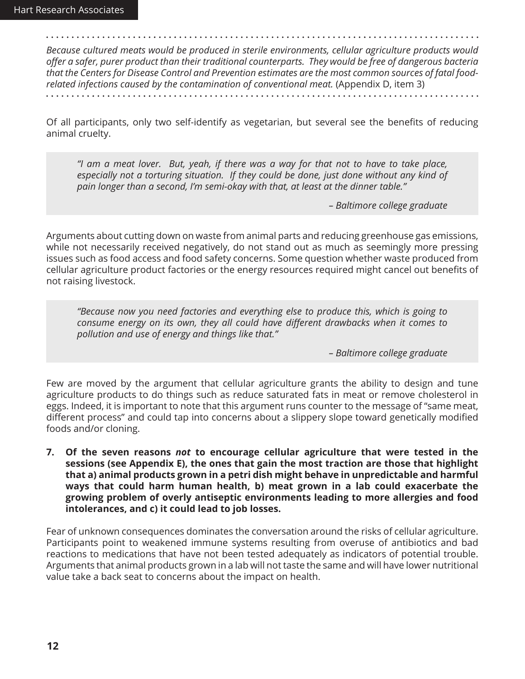*Because cultured meats would be produced in sterile environments, cellular agriculture products would offer a safer, purer product than their traditional counterparts. They would be free of dangerous bacteria that the Centers for Disease Control and Prevention estimates are the most common sources of fatal foodrelated infections caused by the contamination of conventional meat.* (Appendix D, item 3)

Of all participants, only two self-identify as vegetarian, but several see the benefits of reducing animal cruelty.

*"I am a meat lover. But, yeah, if there was a way for that not to have to take place, especially not a torturing situation. If they could be done, just done without any kind of pain longer than a second, I'm semi-okay with that, at least at the dinner table."* 

*– Baltimore college graduate*

Arguments about cutting down on waste from animal parts and reducing greenhouse gas emissions, while not necessarily received negatively, do not stand out as much as seemingly more pressing issues such as food access and food safety concerns. Some question whether waste produced from cellular agriculture product factories or the energy resources required might cancel out benefits of not raising livestock.

*"Because now you need factories and everything else to produce this, which is going to consume energy on its own, they all could have different drawbacks when it comes to pollution and use of energy and things like that."* 

*– Baltimore college graduate*

Few are moved by the argument that cellular agriculture grants the ability to design and tune agriculture products to do things such as reduce saturated fats in meat or remove cholesterol in eggs. Indeed, it is important to note that this argument runs counter to the message of "same meat, different process" and could tap into concerns about a slippery slope toward genetically modified foods and/or cloning.

**7. Of the seven reasons** *not* **to encourage cellular agriculture that were tested in the sessions (see Appendix E), the ones that gain the most traction are those that highlight that a) animal products grown in a petri dish might behave in unpredictable and harmful ways that could harm human health, b) meat grown in a lab could exacerbate the growing problem of overly antiseptic environments leading to more allergies and food intolerances, and c) it could lead to job losses.**

Fear of unknown consequences dominates the conversation around the risks of cellular agriculture. Participants point to weakened immune systems resulting from overuse of antibiotics and bad reactions to medications that have not been tested adequately as indicators of potential trouble. Arguments that animal products grown in a lab will not taste the same and will have lower nutritional value take a back seat to concerns about the impact on health.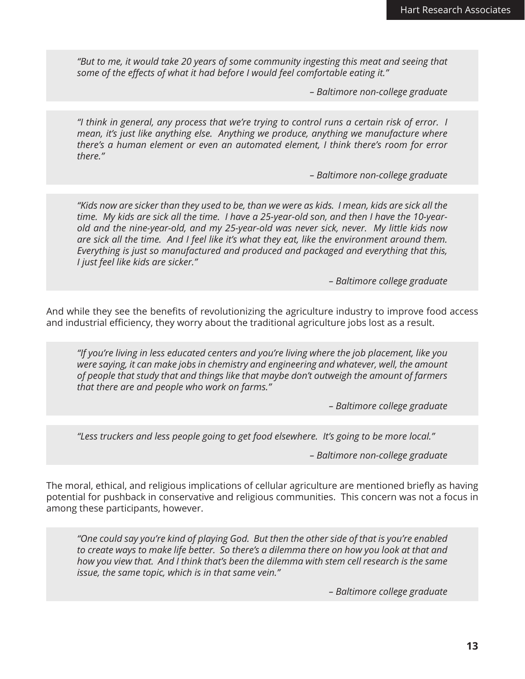*"But to me, it would take 20 years of some community ingesting this meat and seeing that some of the effects of what it had before I would feel comfortable eating it."* 

*– Baltimore non-college graduate*

*"I think in general, any process that we're trying to control runs a certain risk of error. I mean, it's just like anything else. Anything we produce, anything we manufacture where there's a human element or even an automated element, I think there's room for error there."* 

*– Baltimore non-college graduate*

*"Kids now are sicker than they used to be, than we were as kids. I mean, kids are sick all the time. My kids are sick all the time. I have a 25-year-old son, and then I have the 10-yearold and the nine-year-old, and my 25-year-old was never sick, never. My little kids now are sick all the time. And I feel like it's what they eat, like the environment around them. Everything is just so manufactured and produced and packaged and everything that this, I just feel like kids are sicker."* 

*– Baltimore college graduate* 

And while they see the benefits of revolutionizing the agriculture industry to improve food access and industrial efficiency, they worry about the traditional agriculture jobs lost as a result.

*"If you're living in less educated centers and you're living where the job placement, like you were saying, it can make jobs in chemistry and engineering and whatever, well, the amount of people that study that and things like that maybe don't outweigh the amount of farmers that there are and people who work on farms."* 

*– Baltimore college graduate*

*"Less truckers and less people going to get food elsewhere. It's going to be more local."* 

*– Baltimore non-college graduate*

The moral, ethical, and religious implications of cellular agriculture are mentioned briefly as having potential for pushback in conservative and religious communities. This concern was not a focus in among these participants, however.

*"One could say you're kind of playing God. But then the other side of that is you're enabled*  to create ways to make life better. So there's a dilemma there on how you look at that and *how you view that. And I think that's been the dilemma with stem cell research is the same issue, the same topic, which is in that same vein."* 

*– Baltimore college graduate*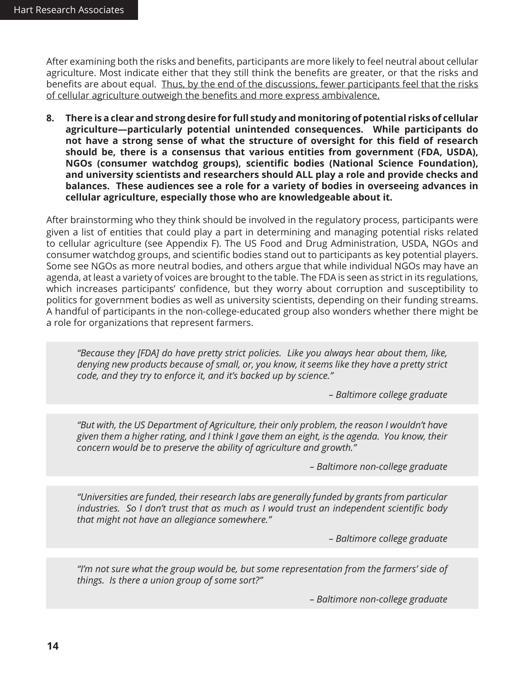After examining both the risks and benefits, participants are more likely to feel neutral about cellular agriculture. Most indicate either that they still think the benefits are greater, or that the risks and benefits are about equal. Thus, by the end of the discussions, fewer participants feel that the risks of cellular agriculture outweigh the benefits and more express ambivalence.

**8. There is a clear and strong desire for full study and monitoring of potential risks of cellular agriculture—particularly potential unintended consequences. While participants do not have a strong sense of what the structure of oversight for this field of research should be, there is a consensus that various entities from government (FDA, USDA), NGOs (consumer watchdog groups), scientific bodies (National Science Foundation), and university scientists and researchers should ALL play a role and provide checks and balances. These audiences see a role for a variety of bodies in overseeing advances in cellular agriculture, especially those who are knowledgeable about it.** 

After brainstorming who they think should be involved in the regulatory process, participants were given a list of entities that could play a part in determining and managing potential risks related to cellular agriculture (see Appendix F). The US Food and Drug Administration, USDA, NGOs and consumer watchdog groups, and scientific bodies stand out to participants as key potential players. Some see NGOs as more neutral bodies, and others argue that while individual NGOs may have an agenda, at least a variety of voices are brought to the table. The FDA is seen as strict in its regulations, which increases participants' confidence, but they worry about corruption and susceptibility to politics for government bodies as well as university scientists, depending on their funding streams. A handful of participants in the non-college-educated group also wonders whether there might be a role for organizations that represent farmers.

*"Because they [FDA] do have pretty strict policies. Like you always hear about them, like, denying new products because of small, or, you know, it seems like they have a pretty strict code, and they try to enforce it, and it's backed up by science."* 

*– Baltimore college graduate*

*"But with, the US Department of Agriculture, their only problem, the reason I wouldn't have given them a higher rating, and I think I gave them an eight, is the agenda. You know, their concern would be to preserve the ability of agriculture and growth."* 

*– Baltimore non-college graduate*

*"Universities are funded, their research labs are generally funded by grants from particular industries. So I don't trust that as much as I would trust an independent scientific body that might not have an allegiance somewhere."* 

*– Baltimore college graduate*

*"I'm not sure what the group would be, but some representation from the farmers' side of things. Is there a union group of some sort?"* 

*– Baltimore non-college graduate*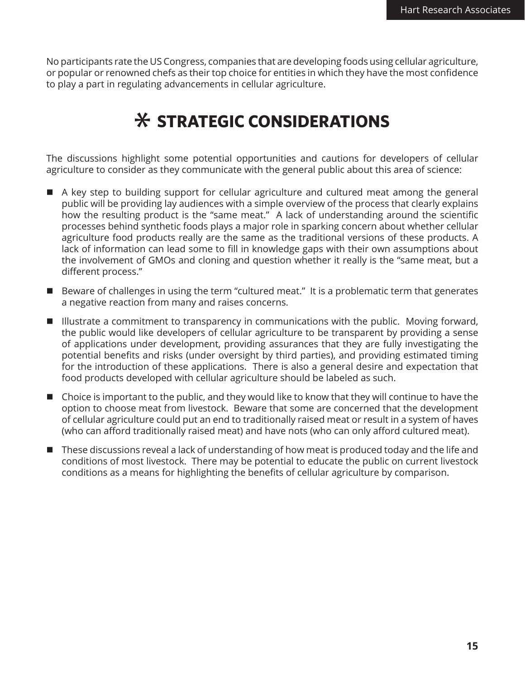No participants rate the US Congress, companies that are developing foods using cellular agriculture, or popular or renowned chefs as their top choice for entities in which they have the most confidence to play a part in regulating advancements in cellular agriculture.

## **STRATEGIC CONSIDERATIONS**

The discussions highlight some potential opportunities and cautions for developers of cellular agriculture to consider as they communicate with the general public about this area of science:

- A key step to building support for cellular agriculture and cultured meat among the general public will be providing lay audiences with a simple overview of the process that clearly explains how the resulting product is the "same meat." A lack of understanding around the scientific processes behind synthetic foods plays a major role in sparking concern about whether cellular agriculture food products really are the same as the traditional versions of these products. A lack of information can lead some to fill in knowledge gaps with their own assumptions about the involvement of GMOs and cloning and question whether it really is the "same meat, but a different process."
- Beware of challenges in using the term "cultured meat." It is a problematic term that generates a negative reaction from many and raises concerns.
- Illustrate a commitment to transparency in communications with the public. Moving forward, the public would like developers of cellular agriculture to be transparent by providing a sense of applications under development, providing assurances that they are fully investigating the potential benefits and risks (under oversight by third parties), and providing estimated timing for the introduction of these applications. There is also a general desire and expectation that food products developed with cellular agriculture should be labeled as such.
- $\blacksquare$  Choice is important to the public, and they would like to know that they will continue to have the option to choose meat from livestock. Beware that some are concerned that the development of cellular agriculture could put an end to traditionally raised meat or result in a system of haves (who can afford traditionally raised meat) and have nots (who can only afford cultured meat).
- These discussions reveal a lack of understanding of how meat is produced today and the life and conditions of most livestock. There may be potential to educate the public on current livestock conditions as a means for highlighting the benefits of cellular agriculture by comparison.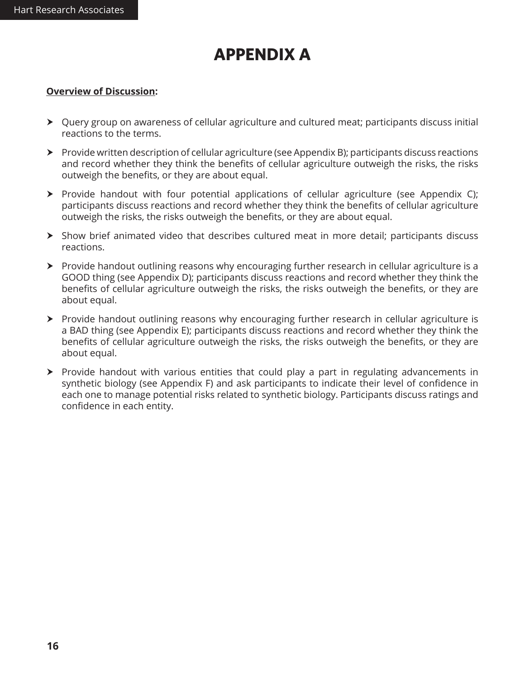## **APPENDIX A**

#### **Overview of Discussion:**

- h Query group on awareness of cellular agriculture and cultured meat; participants discuss initial reactions to the terms.
- $\triangleright$  Provide written description of cellular agriculture (see Appendix B); participants discuss reactions and record whether they think the benefits of cellular agriculture outweigh the risks, the risks outweigh the benefits, or they are about equal.
- $\triangleright$  Provide handout with four potential applications of cellular agriculture (see Appendix C); participants discuss reactions and record whether they think the benefits of cellular agriculture outweigh the risks, the risks outweigh the benefits, or they are about equal.
- $\triangleright$  Show brief animated video that describes cultured meat in more detail; participants discuss reactions.
- $\triangleright$  Provide handout outlining reasons why encouraging further research in cellular agriculture is a GOOD thing (see Appendix D); participants discuss reactions and record whether they think the benefits of cellular agriculture outweigh the risks, the risks outweigh the benefits, or they are about equal.
- ▶ Provide handout outlining reasons why encouraging further research in cellular agriculture is a BAD thing (see Appendix E); participants discuss reactions and record whether they think the benefits of cellular agriculture outweigh the risks, the risks outweigh the benefits, or they are about equal.
- $\triangleright$  Provide handout with various entities that could play a part in regulating advancements in synthetic biology (see Appendix F) and ask participants to indicate their level of confidence in each one to manage potential risks related to synthetic biology. Participants discuss ratings and confidence in each entity.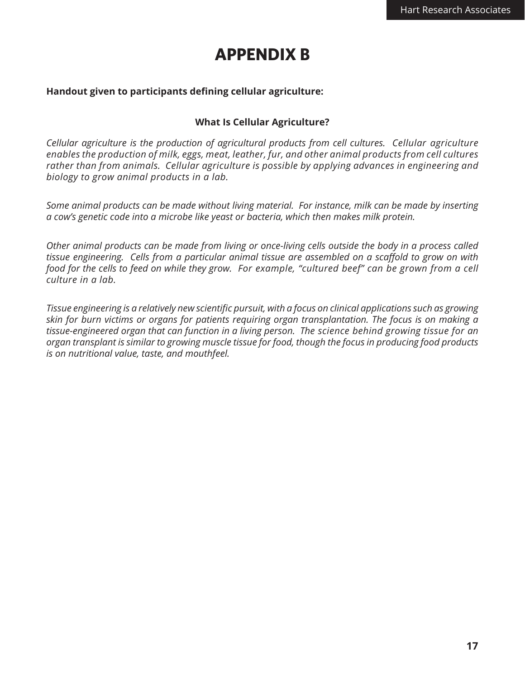### **APPENDIX B**

#### **Handout given to participants defining cellular agriculture:**

#### **What Is Cellular Agriculture?**

*Cellular agriculture is the production of agricultural products from cell cultures. Cellular agriculture enables the production of milk, eggs, meat, leather, fur, and other animal products from cell cultures rather than from animals. Cellular agriculture is possible by applying advances in engineering and biology to grow animal products in a lab.*

*Some animal products can be made without living material. For instance, milk can be made by inserting a cow's genetic code into a microbe like yeast or bacteria, which then makes milk protein.*

*Other animal products can be made from living or once-living cells outside the body in a process called tissue engineering. Cells from a particular animal tissue are assembled on a scaffold to grow on with food for the cells to feed on while they grow. For example, "cultured beef" can be grown from a cell culture in a lab.*

*Tissue engineering is a relatively new scientific pursuit, with a focus on clinical applications such as growing skin for burn victims or organs for patients requiring organ transplantation. The focus is on making a tissue-engineered organ that can function in a living person. The science behind growing tissue for an organ transplant is similar to growing muscle tissue for food, though the focus in producing food products is on nutritional value, taste, and mouthfeel.*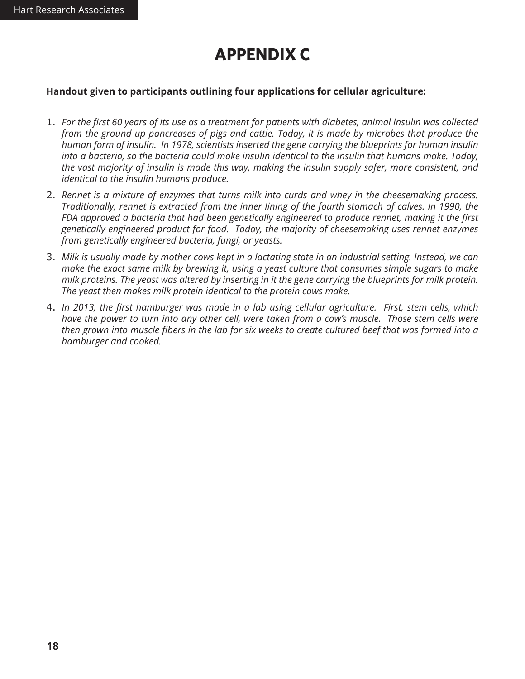### **APPENDIX C**

#### **Handout given to participants outlining four applications for cellular agriculture:**

- 1. *For the first 60 years of its use as a treatment for patients with diabetes, animal insulin was collected from the ground up pancreases of pigs and cattle. Today, it is made by microbes that produce the human form of insulin. In 1978, scientists inserted the gene carrying the blueprints for human insulin into a bacteria, so the bacteria could make insulin identical to the insulin that humans make. Today, the vast majority of insulin is made this way, making the insulin supply safer, more consistent, and identical to the insulin humans produce.*
- 2. *Rennet is a mixture of enzymes that turns milk into curds and whey in the cheesemaking process. Traditionally, rennet is extracted from the inner lining of the fourth stomach of calves. In 1990, the FDA approved a bacteria that had been genetically engineered to produce rennet, making it the first genetically engineered product for food. Today, the majority of cheesemaking uses rennet enzymes from genetically engineered bacteria, fungi, or yeasts.*
- 3. *Milk is usually made by mother cows kept in a lactating state in an industrial setting. Instead, we can make the exact same milk by brewing it, using a yeast culture that consumes simple sugars to make milk proteins. The yeast was altered by inserting in it the gene carrying the blueprints for milk protein. The yeast then makes milk protein identical to the protein cows make.*
- 4. *In 2013, the first hamburger was made in a lab using cellular agriculture. First, stem cells, which have the power to turn into any other cell, were taken from a cow's muscle. Those stem cells were then grown into muscle fibers in the lab for six weeks to create cultured beef that was formed into a hamburger and cooked.*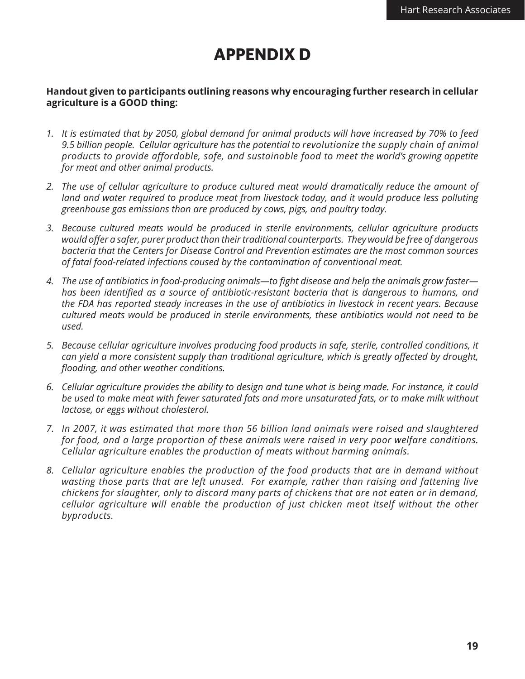### **APPENDIX D**

#### **Handout given to participants outlining reasons why encouraging further research in cellular agriculture is a GOOD thing:**

- *1. It is estimated that by 2050, global demand for animal products will have increased by 70% to feed 9.5 billion people. Cellular agriculture has the potential to revolutionize the supply chain of animal products to provide affordable, safe, and sustainable food to meet the world's growing appetite for meat and other animal products.*
- *2. The use of cellular agriculture to produce cultured meat would dramatically reduce the amount of*  land and water required to produce meat from livestock today, and it would produce less polluting *greenhouse gas emissions than are produced by cows, pigs, and poultry today.*
- *3. Because cultured meats would be produced in sterile environments, cellular agriculture products would offer a safer, purer product than their traditional counterparts. They would be free of dangerous bacteria that the Centers for Disease Control and Prevention estimates are the most common sources of fatal food-related infections caused by the contamination of conventional meat.*
- *4. The use of antibiotics in food-producing animals—to fight disease and help the animals grow faster has been identified as a source of antibiotic-resistant bacteria that is dangerous to humans, and the FDA has reported steady increases in the use of antibiotics in livestock in recent years. Because cultured meats would be produced in sterile environments, these antibiotics would not need to be used.*
- *5. Because cellular agriculture involves producing food products in safe, sterile, controlled conditions, it can yield a more consistent supply than traditional agriculture, which is greatly affected by drought, flooding, and other weather conditions.*
- *6. Cellular agriculture provides the ability to design and tune what is being made. For instance, it could be used to make meat with fewer saturated fats and more unsaturated fats, or to make milk without lactose, or eggs without cholesterol.*
- *7. In 2007, it was estimated that more than 56 billion land animals were raised and slaughtered for food, and a large proportion of these animals were raised in very poor welfare conditions. Cellular agriculture enables the production of meats without harming animals.*
- *8. Cellular agriculture enables the production of the food products that are in demand without wasting those parts that are left unused. For example, rather than raising and fattening live chickens for slaughter, only to discard many parts of chickens that are not eaten or in demand, cellular agriculture will enable the production of just chicken meat itself without the other byproducts.*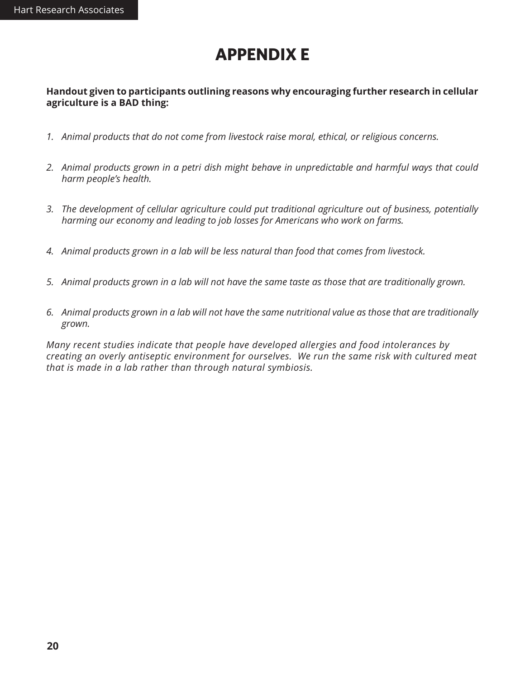### **APPENDIX E**

#### **Handout given to participants outlining reasons why encouraging further research in cellular agriculture is a BAD thing:**

- *1. Animal products that do not come from livestock raise moral, ethical, or religious concerns.*
- *2. Animal products grown in a petri dish might behave in unpredictable and harmful ways that could harm people's health.*
- *3. The development of cellular agriculture could put traditional agriculture out of business, potentially harming our economy and leading to job losses for Americans who work on farms.*
- *4. Animal products grown in a lab will be less natural than food that comes from livestock.*
- *5. Animal products grown in a lab will not have the same taste as those that are traditionally grown.*
- *6. Animal products grown in a lab will not have the same nutritional value as those that are traditionally grown.*

*Many recent studies indicate that people have developed allergies and food intolerances by creating an overly antiseptic environment for ourselves. We run the same risk with cultured meat that is made in a lab rather than through natural symbiosis.*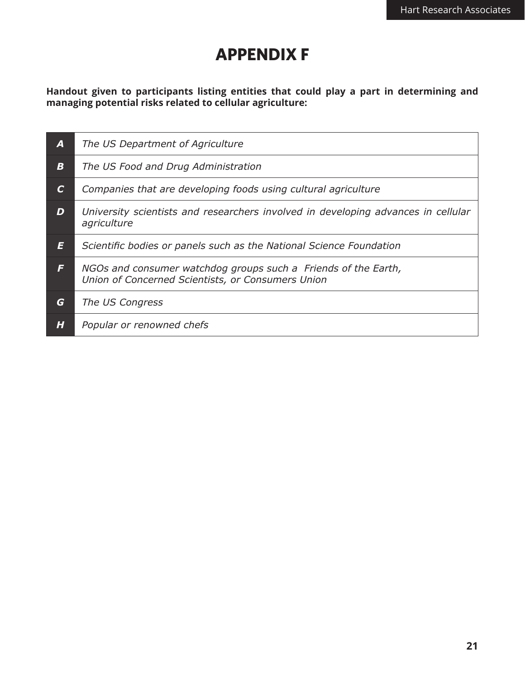### **APPENDIX F**

**Handout given to participants listing entities that could play a part in determining and managing potential risks related to cellular agriculture:**

| A                | The US Department of Agriculture                                                                                    |
|------------------|---------------------------------------------------------------------------------------------------------------------|
| $\boldsymbol{B}$ | The US Food and Drug Administration                                                                                 |
| $\mathcal{C}$    | Companies that are developing foods using cultural agriculture                                                      |
| D                | University scientists and researchers involved in developing advances in cellular<br>agriculture                    |
| E                | Scientific bodies or panels such as the National Science Foundation                                                 |
| F                | NGOs and consumer watchdog groups such a Friends of the Earth,<br>Union of Concerned Scientists, or Consumers Union |
| G                | The US Congress                                                                                                     |
| H                | Popular or renowned chefs                                                                                           |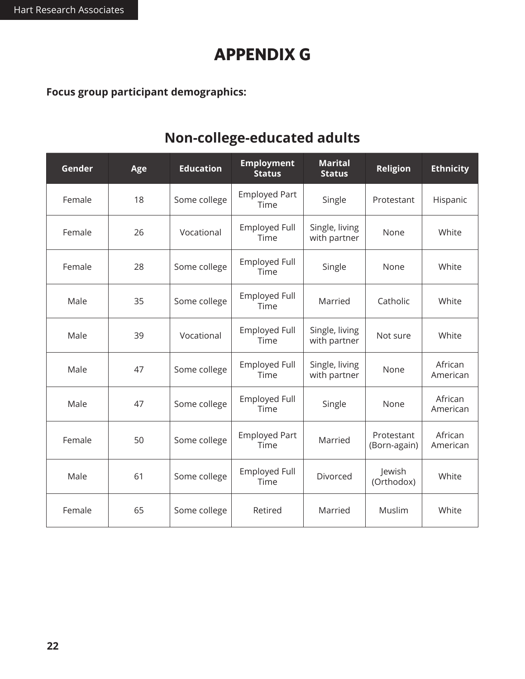### **APPENDIX G**

**Focus group participant demographics:**

### **Non-college-educated adults**

| Gender | Age | <b>Education</b> | <b>Employment</b><br><b>Status</b> | <b>Marital</b><br><b>Status</b> | <b>Religion</b>            | <b>Ethnicity</b>    |
|--------|-----|------------------|------------------------------------|---------------------------------|----------------------------|---------------------|
| Female | 18  | Some college     | <b>Employed Part</b><br>Time       | Single                          | Protestant                 | Hispanic            |
| Female | 26  | Vocational       | <b>Employed Full</b><br>Time       | Single, living<br>with partner  | None                       | White               |
| Female | 28  | Some college     | <b>Employed Full</b><br>Time       | Single                          | None                       | White               |
| Male   | 35  | Some college     | <b>Employed Full</b><br>Time       | Married                         | Catholic                   | White               |
| Male   | 39  | Vocational       | <b>Employed Full</b><br>Time       | Single, living<br>with partner  | Not sure                   | White               |
| Male   | 47  | Some college     | <b>Employed Full</b><br>Time       | Single, living<br>with partner  | None                       | African<br>American |
| Male   | 47  | Some college     | <b>Employed Full</b><br>Time       | Single                          | None                       | African<br>American |
| Female | 50  | Some college     | <b>Employed Part</b><br>Time       | Married                         | Protestant<br>(Born-again) | African<br>American |
| Male   | 61  | Some college     | <b>Employed Full</b><br>Time       | Divorced                        | Jewish<br>(Orthodox)       | White               |
| Female | 65  | Some college     | Retired                            | Married                         | Muslim                     | White               |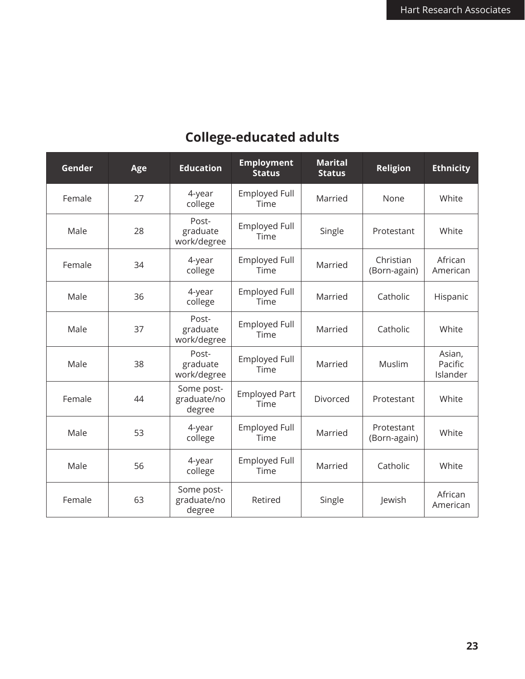### **College-educated adults**

| Gender | Age | <b>Education</b>                    | <b>Employment</b><br><b>Status</b> | <b>Marital</b><br><b>Status</b> | Religion                   | <b>Ethnicity</b>              |
|--------|-----|-------------------------------------|------------------------------------|---------------------------------|----------------------------|-------------------------------|
| Female | 27  | 4-year<br>college                   | <b>Employed Full</b><br>Time       | Married                         | None                       | White                         |
| Male   | 28  | Post-<br>graduate<br>work/degree    | <b>Employed Full</b><br>Time       | Single                          | Protestant                 | White                         |
| Female | 34  | 4-year<br>college                   | <b>Employed Full</b><br>Time       | Married                         | Christian<br>(Born-again)  | African<br>American           |
| Male   | 36  | 4-year<br>college                   | <b>Employed Full</b><br>Time       | Married                         | Catholic                   | Hispanic                      |
| Male   | 37  | Post-<br>graduate<br>work/degree    | <b>Employed Full</b><br>Time       | Married                         | Catholic                   | White                         |
| Male   | 38  | Post-<br>graduate<br>work/degree    | <b>Employed Full</b><br>Time       | Married                         | Muslim                     | Asian,<br>Pacific<br>Islander |
| Female | 44  | Some post-<br>graduate/no<br>degree | <b>Employed Part</b><br>Time       | Divorced                        | Protestant                 | White                         |
| Male   | 53  | 4-year<br>college                   | <b>Employed Full</b><br>Time       | Married                         | Protestant<br>(Born-again) | White                         |
| Male   | 56  | 4-year<br>college                   | <b>Employed Full</b><br>Time       | Married                         | Catholic                   | White                         |
| Female | 63  | Some post-<br>graduate/no<br>degree | Retired                            | Single                          | Jewish                     | African<br>American           |